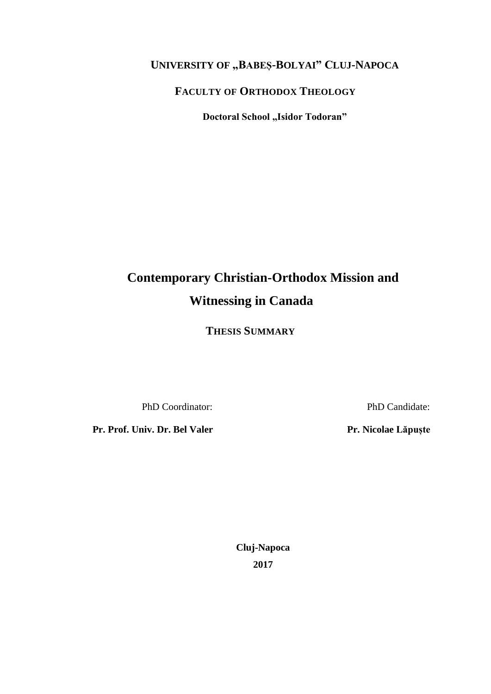# <span id="page-0-10"></span><span id="page-0-4"></span><span id="page-0-1"></span>**UNIVERSITY OF "BABEȘ-BOLYAI" CLUJ-NAPOCA**

## **FACULTY OF ORTHODOX THEOLOGY**

**Doctoral School "Isidor Todoran"** 

# <span id="page-0-6"></span><span id="page-0-2"></span><span id="page-0-0"></span>**Contemporary Christian-Orthodox Mission and Witnessing in Canada**

<span id="page-0-7"></span>**THESIS SUMMARY**

PhD Coordinator: PhD Candidate:

<span id="page-0-9"></span><span id="page-0-8"></span><span id="page-0-5"></span><span id="page-0-3"></span>**Pr. Prof. Univ. Dr. Bel Valer Pr. Nicolae** Lăpuște

**Cluj-Napoca 2017**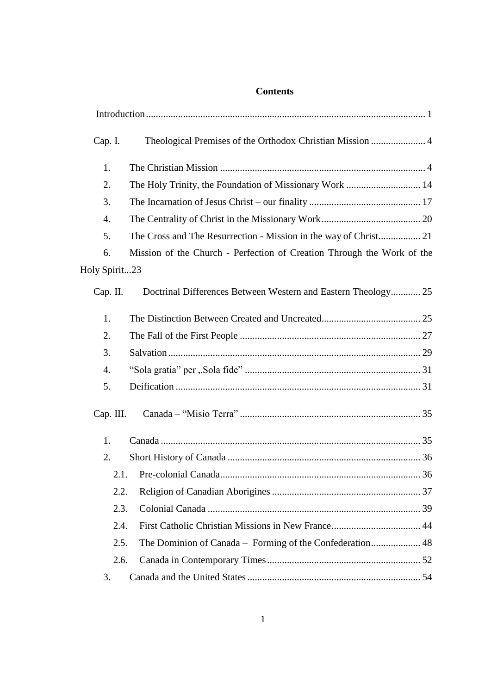#### **Contents**

| Cap. I.       | Theological Premises of the Orthodox Christian Mission  4              |
|---------------|------------------------------------------------------------------------|
| 1.            |                                                                        |
| 2.            |                                                                        |
| 3.            |                                                                        |
| 4.            |                                                                        |
| 5.            |                                                                        |
| 6.            | Mission of the Church - Perfection of Creation Through the Work of the |
| Holy Spirit23 |                                                                        |
| Cap. II.      | Doctrinal Differences Between Western and Eastern Theology 25          |
| 1.            |                                                                        |
| 2.            |                                                                        |
| 3.            |                                                                        |
| 4.            |                                                                        |
| 5.            |                                                                        |
| Cap. III.     |                                                                        |
| 1.            |                                                                        |
| 2.            |                                                                        |
| 2.1.          |                                                                        |
| 2.2.          |                                                                        |
| 2.3.          |                                                                        |
| 2.4.          |                                                                        |
| 2.5.          | The Dominion of Canada - Forming of the Confederation 48               |
| 2.6.          |                                                                        |
| 3.            |                                                                        |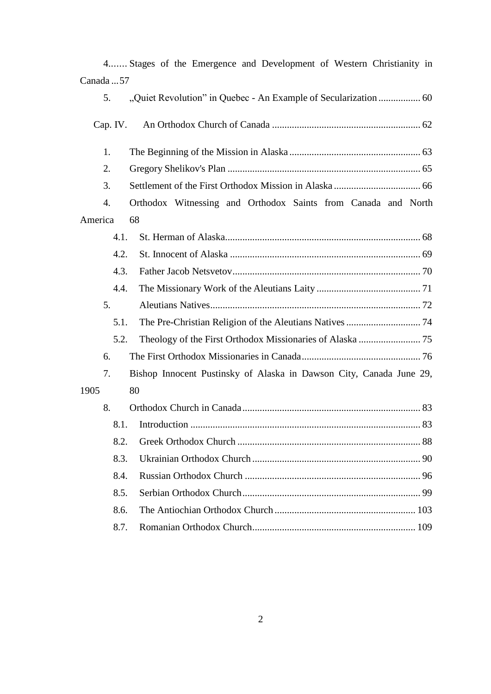|            | 4 Stages of the Emergence and Development of Western Christianity in |
|------------|----------------------------------------------------------------------|
| Canada  57 |                                                                      |
| 5.         |                                                                      |
| Cap. IV.   |                                                                      |
| 1.         |                                                                      |
| 2.         |                                                                      |
| 3.         |                                                                      |
| 4.         | Orthodox Witnessing and Orthodox Saints from Canada and North        |
| America    | 68                                                                   |
| 4.1.       |                                                                      |
| 4.2.       |                                                                      |
| 4.3.       |                                                                      |
| 4.4.       |                                                                      |
| 5.         |                                                                      |
| 5.1.       |                                                                      |
| 5.2.       |                                                                      |
| 6.         |                                                                      |
| 7.         | Bishop Innocent Pustinsky of Alaska in Dawson City, Canada June 29,  |
| 1905       | 80                                                                   |
| 8.         |                                                                      |
|            |                                                                      |
| 8.2.       |                                                                      |
| 8.3.       | 90                                                                   |
| 8.4.       |                                                                      |
| 8.5.       |                                                                      |
| 8.6.       |                                                                      |
| 8.7.       |                                                                      |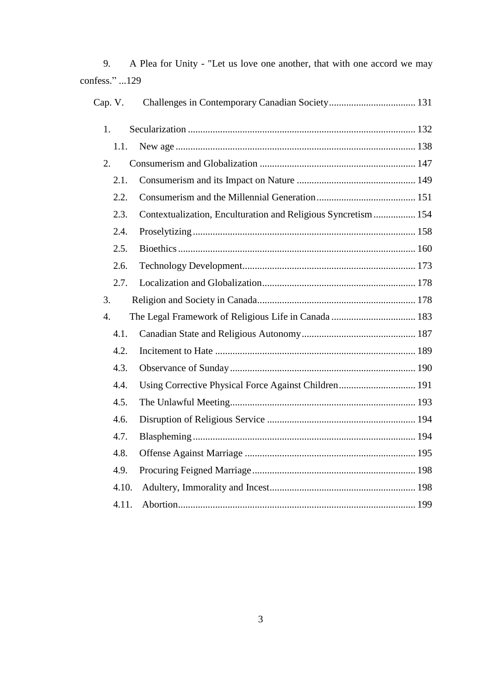| onfess." 129 |                                                               |  |
|--------------|---------------------------------------------------------------|--|
| Cap. V.      |                                                               |  |
| 1.           |                                                               |  |
| 1.1.         |                                                               |  |
| 2.           |                                                               |  |
| 2.1.         |                                                               |  |
| 2.2.         |                                                               |  |
| 2.3.         | Contextualization, Enculturation and Religious Syncretism 154 |  |
| 2.4.         |                                                               |  |
| 2.5.         |                                                               |  |
| 2.6.         |                                                               |  |
| 2.7.         |                                                               |  |
| 3.           |                                                               |  |
| 4.           |                                                               |  |
| 4.1.         |                                                               |  |
| 4.2.         |                                                               |  |
| 4.3.         |                                                               |  |
| 4.4.         | Using Corrective Physical Force Against Children 191          |  |
| 4.5.         |                                                               |  |
| 4.6.         |                                                               |  |
| 4.7.         |                                                               |  |
| 4.8.         |                                                               |  |
| 4.9.         |                                                               |  |
| 4.10.        |                                                               |  |
| 4.11.        |                                                               |  |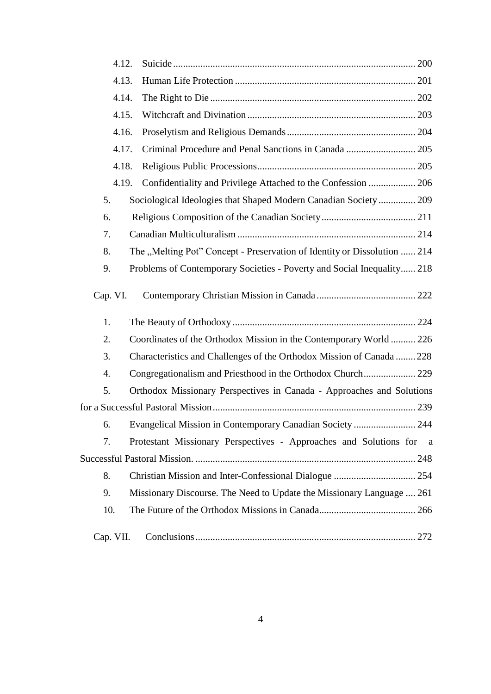| 4.12.     |                                                                          |
|-----------|--------------------------------------------------------------------------|
| 4.13.     |                                                                          |
| 4.14.     |                                                                          |
| 4.15.     |                                                                          |
| 4.16.     |                                                                          |
| 4.17.     | Criminal Procedure and Penal Sanctions in Canada  205                    |
| 4.18.     |                                                                          |
| 4.19.     | Confidentiality and Privilege Attached to the Confession  206            |
| 5.        | Sociological Ideologies that Shaped Modern Canadian Society 209          |
| 6.        |                                                                          |
| 7.        |                                                                          |
| 8.        | The "Melting Pot" Concept - Preservation of Identity or Dissolution  214 |
| 9.        | Problems of Contemporary Societies - Poverty and Social Inequality 218   |
| Cap. VI.  |                                                                          |
| 1.        |                                                                          |
| 2.        | Coordinates of the Orthodox Mission in the Contemporary World 226        |
| 3.        | Characteristics and Challenges of the Orthodox Mission of Canada  228    |
| 4.        |                                                                          |
| 5.        | Orthodox Missionary Perspectives in Canada - Approaches and Solutions    |
|           |                                                                          |
| 6.        | Evangelical Mission in Contemporary Canadian Society<br>244              |
| 7.        | Protestant Missionary Perspectives - Approaches and Solutions for a      |
|           |                                                                          |
| 8.        |                                                                          |
| 9.        | Missionary Discourse. The Need to Update the Missionary Language  261    |
| 10.       |                                                                          |
| Cap. VII. |                                                                          |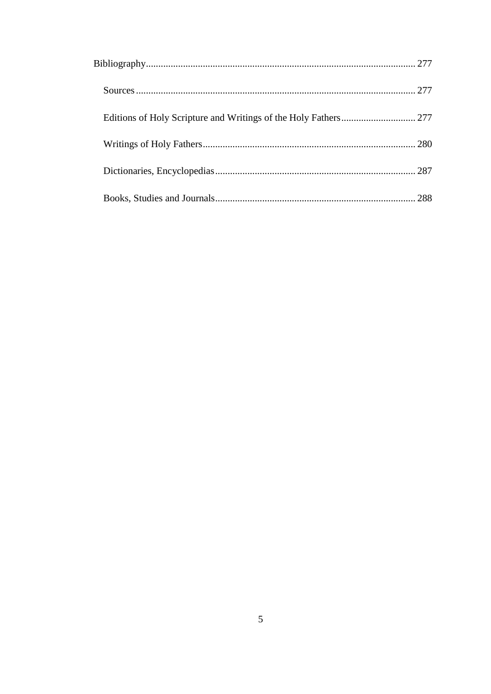|  | 288 |
|--|-----|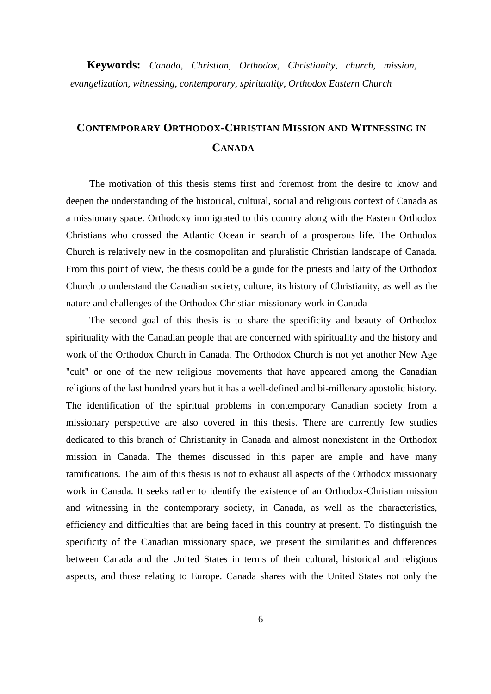**Keywords:** *Canada, Christian, Orthodox, Christianity, church, mission, evangelization, witnessing, contemporary, spirituality, Orthodox Eastern Church*

# **CONTEMPORARY ORTHODOX-CHRISTIAN MISSION AND WITNESSING IN CANADA**

The motivation of this thesis stems first and foremost from the desire to know and deepen the understanding of the historical, cultural, social and religious context of Canada as a missionary space. Orthodoxy immigrated to this country along with the Eastern Orthodox Christians who crossed the Atlantic Ocean in search of a prosperous life. The Orthodox Church is relatively new in the cosmopolitan and pluralistic Christian landscape of Canada. From this point of view, the thesis could be a guide for the priests and laity of the Orthodox Church to understand the Canadian society, culture, its history of Christianity, as well as the nature and challenges of the Orthodox Christian missionary work in Canada

The second goal of this thesis is to share the specificity and beauty of Orthodox spirituality with the Canadian people that are concerned with spirituality and the history and work of the Orthodox Church in Canada. The Orthodox Church is not yet another New Age "cult" or one of the new religious movements that have appeared among the Canadian religions of the last hundred years but it has a well-defined and bi-millenary apostolic history. The identification of the spiritual problems in contemporary Canadian society from a missionary perspective are also covered in this thesis. There are currently few studies dedicated to this branch of Christianity in Canada and almost nonexistent in the Orthodox mission in Canada. The themes discussed in this paper are ample and have many ramifications. The aim of this thesis is not to exhaust all aspects of the Orthodox missionary work in Canada. It seeks rather to identify the existence of an Orthodox-Christian mission and witnessing in the contemporary society, in Canada, as well as the characteristics, efficiency and difficulties that are being faced in this country at present. To distinguish the specificity of the Canadian missionary space, we present the similarities and differences between Canada and the United States in terms of their cultural, historical and religious aspects, and those relating to Europe. Canada shares with the United States not only the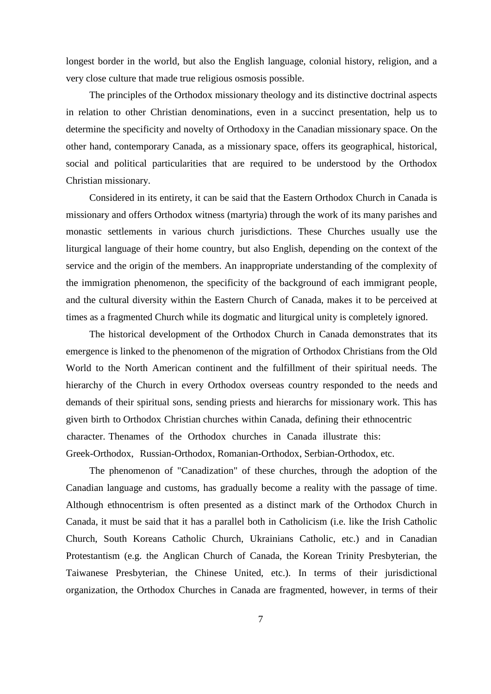longest border in the world, but also the English language, colonial history, religion, and a very close culture that made true religious osmosis possible.

The principles of the Orthodox missionary theology and its distinctive doctrinal aspects in relation to other Christian denominations, even in a succinct presentation, help us to determine the specificity and novelty of Orthodoxy in the Canadian missionary space. On the other hand, contemporary Canada, as a missionary space, offers its geographical, historical, social and political particularities that are required to be understood by the Orthodox Christian missionary.

Considered in its entirety, it can be said that the Eastern Orthodox Church in Canada is missionary and offers Orthodox witness (martyria) through the work of its many parishes and monastic settlements in various church jurisdictions. These Churches usually use the liturgical language of their home country, but also English, depending on the context of the service and the origin of the members. An inappropriate understanding of the complexity of the immigration phenomenon, the specificity of the background of each immigrant people, and the cultural diversity within the Eastern Church of Canada, makes it to be perceived at times as a fragmented Church while its dogmatic and liturgical unity is completely ignored.

The historical development of the Orthodox Church in Canada demonstrates that its emergence is linked to the phenomenon of the migration of Orthodox Christians from the Old World to the North American continent and the fulfillment of their spiritual needs. The hierarchy of the Church in every Orthodox overseas country responded to the needs and demands of their spiritual sons, sending priests and hierarchs for missionary work. This has given birth to Orthodox Christian churches within Canada, defining their ethnocentric character. Thenames of the Orthodox churches in Canada illustrate this: Greek-Orthodox, Russian-Orthodox, Romanian-Orthodox, Serbian-Orthodox, etc.

The phenomenon of "Canadization" of these churches, through the adoption of the Canadian language and customs, has gradually become a reality with the passage of time. Although ethnocentrism is often presented as a distinct mark of the Orthodox Church in Canada, it must be said that it has a parallel both in Catholicism (i.e. like the Irish Catholic Church, South Koreans Catholic Church, Ukrainians Catholic, etc.) and in Canadian Protestantism (e.g. the Anglican Church of Canada, the Korean Trinity Presbyterian, the Taiwanese Presbyterian, the Chinese United, etc.). In terms of their jurisdictional organization, the Orthodox Churches in Canada are fragmented, however, in terms of their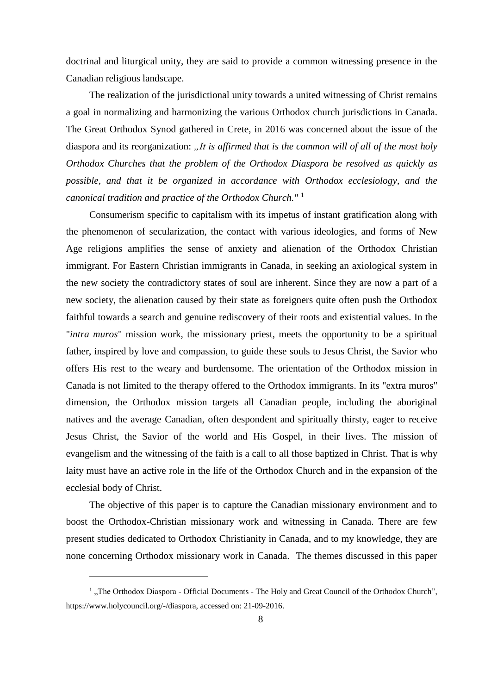doctrinal and liturgical unity, they are said to provide a common witnessing presence in the Canadian religious landscape.

The realization of the jurisdictional unity towards a united witnessing of Christ remains a goal in normalizing and harmonizing the various Orthodox church jurisdictions in Canada. The Great Orthodox Synod gathered in Crete, in 2016 was concerned about the issue of the diaspora and its reorganization: *"It is affirmed that is the common will of all of the most holy Orthodox Churches that the problem of the Orthodox Diaspora be resolved as quickly as possible, and that it be organized in accordance with Orthodox ecclesiology, and the canonical tradition and practice of the Orthodox Church."* <sup>1</sup>

Consumerism specific to capitalism with its impetus of instant gratification along with the phenomenon of secularization, the contact with various ideologies, and forms of New Age religions amplifies the sense of anxiety and alienation of the Orthodox Christian immigrant. For Eastern Christian immigrants in Canada, in seeking an axiological system in the new society the contradictory states of soul are inherent. Since they are now a part of a new society, the alienation caused by their state as foreigners quite often push the Orthodox faithful towards a search and genuine rediscovery of their roots and existential values. In the "*intra muros*" mission work, the missionary priest, meets the opportunity to be a spiritual father, inspired by love and compassion, to guide these souls to Jesus Christ, the Savior who offers His rest to the weary and burdensome. The orientation of the Orthodox mission in Canada is not limited to the therapy offered to the Orthodox immigrants. In its "extra muros" dimension, the Orthodox mission targets all Canadian people, including the aboriginal natives and the average Canadian, often despondent and spiritually thirsty, eager to receive Jesus Christ, the Savior of the world and His Gospel, in their lives. The mission of evangelism and the witnessing of the faith is a call to all those baptized in Christ. That is why laity must have an active role in the life of the Orthodox Church and in the expansion of the ecclesial body of Christ.

The objective of this paper is to capture the Canadian missionary environment and to boost the Orthodox-Christian missionary work and witnessing in Canada. There are few present studies dedicated to Orthodox Christianity in Canada, and to my knowledge, they are none concerning Orthodox missionary work in Canada. The themes discussed in this paper

<sup>&</sup>lt;sup>1</sup>, The Orthodox Diaspora - Official Documents - The Holy and Great Council of the Orthodox Church", https://www.holycouncil.org/-/diaspora, accessed on: 21-09-2016.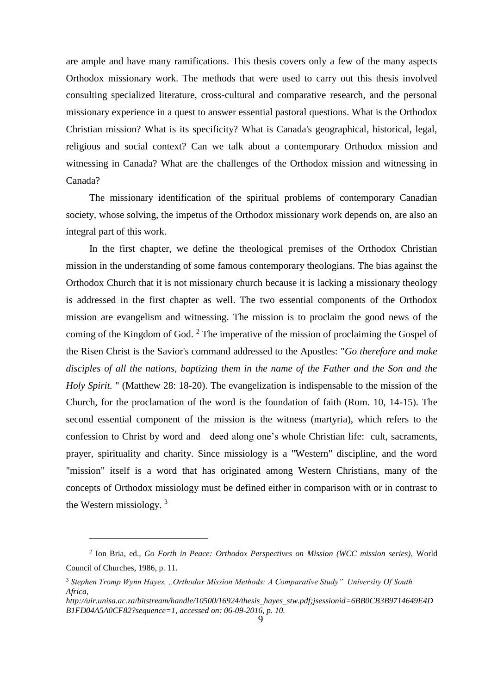are ample and have many ramifications. This thesis covers only a few of the many aspects Orthodox missionary work. The methods that were used to carry out this thesis involved consulting specialized literature, cross-cultural and comparative research, and the personal missionary experience in a quest to answer essential pastoral questions. What is the Orthodox Christian mission? What is its specificity? What is Canada's geographical, historical, legal, religious and social context? Can we talk about a contemporary Orthodox mission and witnessing in Canada? What are the challenges of the Orthodox mission and witnessing in Canada?

The missionary identification of the spiritual problems of contemporary Canadian society, whose solving, the impetus of the Orthodox missionary work depends on, are also an integral part of this work.

In the first chapter, we define the theological premises of the Orthodox Christian mission in the understanding of some famous contemporary theologians. The bias against the Orthodox Church that it is not missionary church because it is lacking a missionary theology is addressed in the first chapter as well. The two essential components of the Orthodox mission are evangelism and witnessing. The mission is to proclaim the good news of the coming of the Kingdom of God. <sup>2</sup> The imperative of the mission of proclaiming the Gospel of the Risen Christ is the Savior's command addressed to the Apostles: "*Go therefore and make disciples of all the nations, baptizing them in the name of the Father and the Son and the Holy Spirit.* " (Matthew 28: 18-20). The evangelization is indispensable to the mission of the Church, for the proclamation of the word is the foundation of faith (Rom. 10, 14-15). The second essential component of the mission is the witness (martyria), which refers to the confession to Christ by word and deed along one's whole Christian life: cult, sacraments, prayer, spirituality and charity. Since missiology is a "Western" discipline, and the word "mission" itself is a word that has originated among Western Christians, many of the concepts of Orthodox missiology must be defined either in comparison with or in contrast to the Western missiology. <sup>3</sup>

<sup>2</sup> Ion Bria, ed., *Go Forth in Peace: Orthodox Perspectives on Mission (WCC mission series)*, World Council of Churches, 1986, p. 11.

<sup>3</sup> *Stephen Tromp Wynn Hayes, "Orthodox Mission Methods: A Comparative Study" University Of South Africa,* 

*http://uir.unisa.ac.za/bitstream/handle/10500/16924/thesis\_hayes\_stw.pdf;jsessionid=6BB0CB3B9714649E4D B1FD04A5A0CF82?sequence=1, accessed on: 06-09-2016, p. 10.*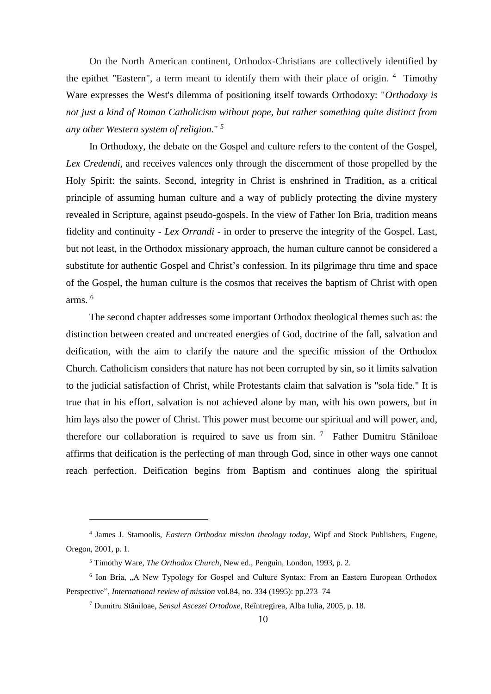On the North American continent, Orthodox-Christians are collectively identified by the epithet "Eastern", a term meant to identify them with their place of origin. <sup>4</sup> Timothy Ware expresses the West's dilemma of positioning itself towards Orthodoxy: "*Orthodoxy is not just a kind of Roman Catholicism without pope, but rather something quite distinct from any other Western system of religion.*" *5*

In Orthodoxy, the debate on the Gospel and culture refers to the content of the Gospel, *Lex Credendi*, and receives valences only through the discernment of those propelled by the Holy Spirit: the saints. Second, integrity in Christ is enshrined in Tradition, as a critical principle of assuming human culture and a way of publicly protecting the divine mystery revealed in Scripture, against pseudo-gospels. In the view of Father Ion Bria, tradition means fidelity and continuity - *Lex Orrandi* - in order to preserve the integrity of the Gospel. Last, but not least, in the Orthodox missionary approach, the human culture cannot be considered a substitute for authentic Gospel and Christ's confession. In its pilgrimage thru time and space of the Gospel, the human culture is the cosmos that receives the baptism of Christ with open arms. <sup>6</sup>

The second chapter addresses some important Orthodox theological themes such as: the distinction between created and uncreated energies of God, doctrine of the fall, salvation and deification, with the aim to clarify the nature and the specific mission of the Orthodox Church. Catholicism considers that nature has not been corrupted by sin, so it limits salvation to the judicial satisfaction of Christ, while Protestants claim that salvation is "sola fide." It is true that in his effort, salvation is not achieved alone by man, with his own powers, but in him lays also the power of Christ. This power must become our spiritual and will power, and, therefore our collaboration is required to save us from sin.  $7$  Father Dumitru Stăniloae affirms that deification is the perfecting of man through God, since in other ways one cannot reach perfection. Deification begins from Baptism and continues along the spiritual

<sup>4</sup> James J. Stamoolis, *Eastern Orthodox mission theology today*, Wipf and Stock Publishers, Eugene, Oregon, 2001, p. 1.

<sup>5</sup> Timothy Ware, *The Orthodox Church*, New ed., Penguin, London, 1993, p. 2.

<sup>&</sup>lt;sup>6</sup> Ion Bria, "A New Typology for Gospel and Culture Syntax: From an Eastern European Orthodox Perspective", *International review of mission* vol.84, no. 334 (1995): pp.273–74

<sup>7</sup> Dumitru Stăniloae, *Sensul Ascezei Ortodoxe*, Reîntregirea, Alba Iulia, 2005, p. 18.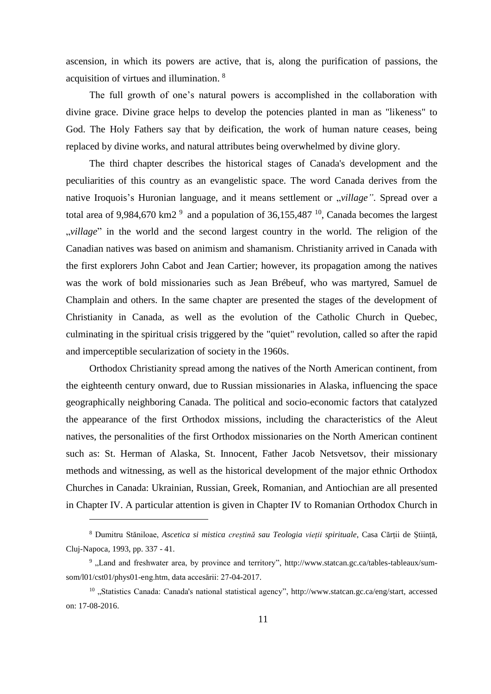ascension, in which its powers are active, that is, along the purification of passions, the acquisition of virtues and illumination. <sup>8</sup>

The full growth of one's natural powers is accomplished in the collaboration with divine grace. Divine grace helps to develop the potencies planted in man as "likeness" to God. The Holy Fathers say that by deification, the work of human nature ceases, being replaced by divine works, and natural attributes being overwhelmed by divine glory.

The third chapter describes the historical stages of Canada's development and the peculiarities of this country as an evangelistic space. The word Canada derives from the native Iroquois's Huronian language, and it means settlement or *"village"*. Spread over a total area of 9,984,670 km2<sup>9</sup> and a population of 36,155,487<sup>10</sup>, Canada becomes the largest willage" in the world and the second largest country in the world. The religion of the Canadian natives was based on animism and shamanism. Christianity arrived in Canada with the first explorers John Cabot and Jean Cartier; however, its propagation among the natives was the work of bold missionaries such as Jean Brébeuf, who was martyred, Samuel de Champlain and others. In the same chapter are presented the stages of the development of Christianity in Canada, as well as the evolution of the Catholic Church in Quebec, culminating in the spiritual crisis triggered by the "quiet" revolution, called so after the rapid and imperceptible secularization of society in the 1960s.

Orthodox Christianity spread among the natives of the North American continent, from the eighteenth century onward, due to Russian missionaries in Alaska, influencing the space geographically neighboring Canada. The political and socio-economic factors that catalyzed the appearance of the first Orthodox missions, including the characteristics of the Aleut natives, the personalities of the first Orthodox missionaries on the North American continent such as: St. Herman of Alaska, St. Innocent, Father Jacob Netsvetsov, their missionary methods and witnessing, as well as the historical development of the major ethnic Orthodox Churches in Canada: Ukrainian, Russian, Greek, Romanian, and Antiochian are all presented in Chapter IV. A particular attention is given in Chapter IV to Romanian Orthodox Church in

<sup>8</sup> Dumitru Stăniloae, *Ascetica si mistica creștină sau Teologia vieții spirituale*, Casa Cărții de Știință, Cluj-Napoca, 1993, pp. 337 - 41.

<sup>9</sup> "Land and freshwater area, by province and territory", http://www.statcan.gc.ca/tables-tableaux/sumsom/l01/cst01/phys01-eng.htm, data accesării: 27-04-2017.

 $10$  . Statistics Canada: Canada's national statistical agency", http://www.statcan.gc.ca/eng/start, accessed on: 17-08-2016.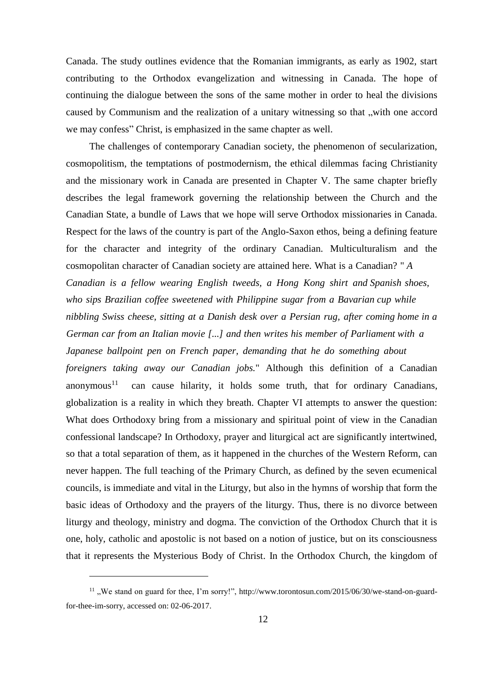Canada. The study outlines evidence that the Romanian immigrants, as early as 1902, start contributing to the Orthodox evangelization and witnessing in Canada. The hope of continuing the dialogue between the sons of the same mother in order to heal the divisions caused by Communism and the realization of a unitary witnessing so that "with one accord we may confess" Christ, is emphasized in the same chapter as well.

The challenges of contemporary Canadian society, the phenomenon of secularization, cosmopolitism, the temptations of postmodernism, the ethical dilemmas facing Christianity and the missionary work in Canada are presented in Chapter V. The same chapter briefly describes the legal framework governing the relationship between the Church and the Canadian State, a bundle of Laws that we hope will serve Orthodox missionaries in Canada. Respect for the laws of the country is part of the Anglo-Saxon ethos, being a defining feature for the character and integrity of the ordinary Canadian. Multiculturalism and the cosmopolitan character of Canadian society are attained here. What is a Canadian? " *A Canadian is a fellow wearing English tweeds, a Hong Kong shirt and Spanish shoes, who sips Brazilian coffee sweetened with Philippine sugar from a Bavarian cup while nibbling Swiss cheese, sitting at a Danish desk over a Persian rug, after coming home in a German car from an Italian movie [...] and then writes his member of Parliament with a Japanese ballpoint pen on French paper, demanding that he do something about foreigners taking away our Canadian jobs.*" Although this definition of a Canadian anonymous<sup>11</sup> can cause hilarity, it holds some truth, that for ordinary Canadians, globalization is a reality in which they breath. Chapter VI attempts to answer the question: What does Orthodoxy bring from a missionary and spiritual point of view in the Canadian confessional landscape? In Orthodoxy, prayer and liturgical act are significantly intertwined, so that a total separation of them, as it happened in the churches of the Western Reform, can never happen. The full teaching of the Primary Church, as defined by the seven ecumenical councils, is immediate and vital in the Liturgy, but also in the hymns of worship that form the basic ideas of Orthodoxy and the prayers of the liturgy. Thus, there is no divorce between liturgy and theology, ministry and dogma. The conviction of the Orthodox Church that it is one, holy, catholic and apostolic is not based on a notion of justice, but on its consciousness that it represents the Mysterious Body of Christ. In the Orthodox Church, the kingdom of

 $11$ . We stand on guard for thee, I'm sorry!", http://www.torontosun.com/2015/06/30/we-stand-on-guardfor-thee-im-sorry, accessed on: 02-06-2017.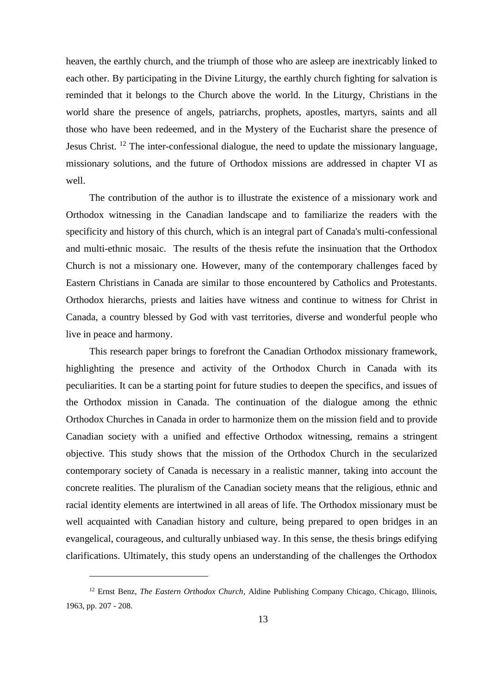heaven, the earthly church, and the triumph of those who are asleep are inextricably linked to each other. By participating in the Divine Liturgy, the earthly church fighting for salvation is reminded that it belongs to the Church above the world. In the Liturgy, Christians in the world share the presence of angels, patriarchs, prophets, apostles, martyrs, saints and all those who have been redeemed, and in the Mystery of the Eucharist share the presence of Jesus Christ. <sup>12</sup> The inter-confessional dialogue, the need to update the missionary language, missionary solutions, and the future of Orthodox missions are addressed in chapter VI as well.

The contribution of the author is to illustrate the existence of a missionary work and Orthodox witnessing in the Canadian landscape and to familiarize the readers with the specificity and history of this church, which is an integral part of Canada's multi-confessional and multi-ethnic mosaic. The results of the thesis refute the insinuation that the Orthodox Church is not a missionary one. However, many of the contemporary challenges faced by Eastern Christians in Canada are similar to those encountered by Catholics and Protestants. Orthodox hierarchs, priests and laities have witness and continue to witness for Christ in Canada, a country blessed by God with vast territories, diverse and wonderful people who live in peace and harmony.

This research paper brings to forefront the Canadian Orthodox missionary framework, highlighting the presence and activity of the Orthodox Church in Canada with its peculiarities. It can be a starting point for future studies to deepen the specifics, and issues of the Orthodox mission in Canada. The continuation of the dialogue among the ethnic Orthodox Churches in Canada in order to harmonize them on the mission field and to provide Canadian society with a unified and effective Orthodox witnessing, remains a stringent objective. This study shows that the mission of the Orthodox Church in the secularized contemporary society of Canada is necessary in a realistic manner, taking into account the concrete realities. The pluralism of the Canadian society means that the religious, ethnic and racial identity elements are intertwined in all areas of life. The Orthodox missionary must be well acquainted with Canadian history and culture, being prepared to open bridges in an evangelical, courageous, and culturally unbiased way. In this sense, the thesis brings edifying clarifications. Ultimately, this study opens an understanding of the challenges the Orthodox

<sup>12</sup> Ernst Benz, *The Eastern Orthodox Church*, Aldine Publishing Company Chicago, Chicago, Illinois, 1963, pp. 207 - 208.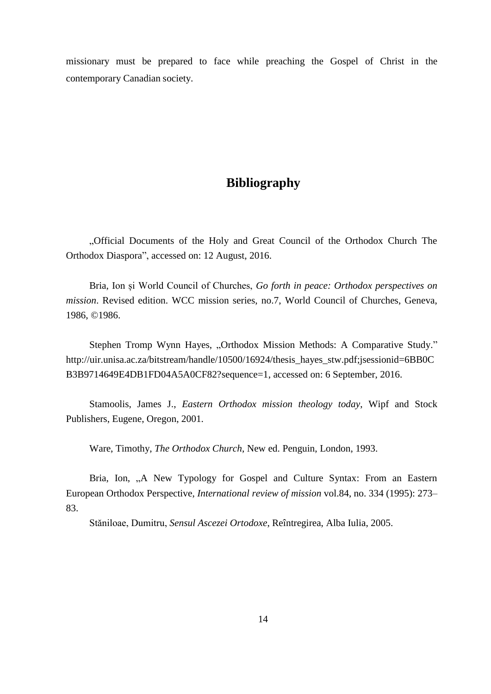missionary must be prepared to face while preaching the Gospel of Christ in the contemporary Canadian society.

## **Bibliography**

"Official Documents of the Holy and Great Council of the Orthodox Church The Orthodox Diaspora", accessed on: 12 August, 2016.

Bria, Ion și World Council of Churches, *Go forth in peace: Orthodox perspectives on mission*. Revised edition. WCC mission series, no.7, World Council of Churches, Geneva, 1986, ©1986.

Stephen Tromp Wynn Hayes, "Orthodox Mission Methods: A Comparative Study." http://uir.unisa.ac.za/bitstream/handle/10500/16924/thesis\_hayes\_stw.pdf;jsessionid=6BB0C B3B9714649E4DB1FD04A5A0CF82?sequence=1, accessed on: 6 September, 2016.

Stamoolis, James J., *Eastern Orthodox mission theology today*, Wipf and Stock Publishers, Eugene, Oregon, 2001.

Ware, Timothy, *The Orthodox Church*, New ed. Penguin, London, 1993.

Bria, Ion, "A New Typology for Gospel and Culture Syntax: From an Eastern European Orthodox Perspective, *International review of mission* vol.84, no. 334 (1995): 273– 83.

Stăniloae, Dumitru, *Sensul Ascezei Ortodoxe*, Reîntregirea, Alba Iulia, 2005.